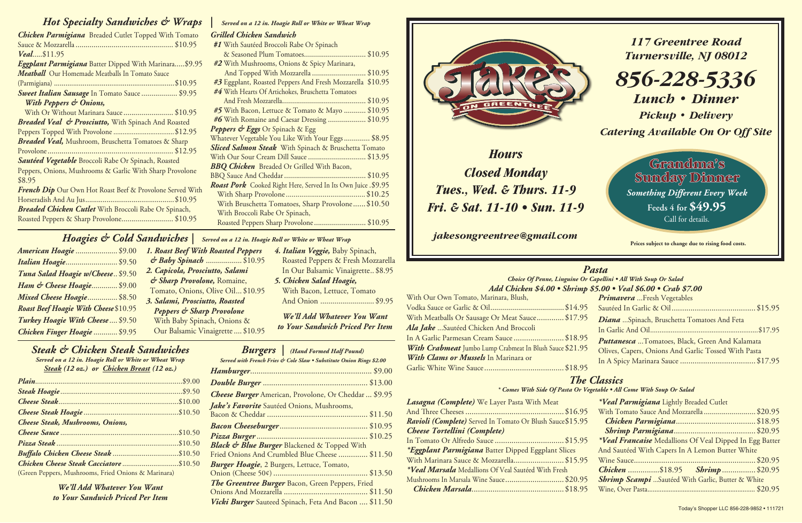*117 Greentree Road Turnersville, NJ 08012*

*856-228-5336 Lunch • Dinner*

*Pickup • Delivery*

*Catering Available On Or Off Site*

## *Hoagies & Cold Sandwiches | Served on a 12 in. Hoagie Roll or White or Wheat Wrap*

| American Hoagie  \$9.00               |  |
|---------------------------------------|--|
| <b>Italian Hoagie \$9.50</b>          |  |
| Tuna Salad Hoagie w/Cheese \$9.50     |  |
| Ham & Cheese Hoagie \$9.00            |  |
| Mixed Cheese Hoagie \$8.50            |  |
| Roast Beef Hoagie With Cheese \$10.95 |  |
| Turkey Hoagie With Cheese  \$9.50     |  |
| Chicken Finger Hoagie  \$9.95         |  |

**With Bacon, Lettuce, Tomato** And Onion ........................... \$9.95

 Roasted Peppers & Fresh Mozzarella In Our Balsamic Vinaigrette.. \$8.95

| $\mathbf{u}$ $\mathbf{u}$ $\mathbf{u}$ $\mathbf{u}$ $\mathbf{u}$ $\mathbf{v}$ $\mathbf{v}$ $\mathbf{v}$ $\mathbf{v}$ $\mathbf{v}$ |
|-----------------------------------------------------------------------------------------------------------------------------------|
| <b>Burgers</b>   (Hand Formed Half Pound)                                                                                         |
| Served with French Fries & Cole Slaw . Substitute Onion Rings \$2.00                                                              |
|                                                                                                                                   |
|                                                                                                                                   |
| <b>Cheese Burger</b> American, Provolone, Or Cheddar  \$9.95                                                                      |
| Jake's Favorite Sautéed Onions, Mushrooms,                                                                                        |
|                                                                                                                                   |
|                                                                                                                                   |
|                                                                                                                                   |
| <b>Black &amp; Blue Burger Blackened &amp; Topped With</b>                                                                        |
| Fried Onions And Crumbled Blue Cheese  \$11.50                                                                                    |
| <b>Burger Hoagie</b> , 2 Burgers, Lettuce, Tomato,                                                                                |
|                                                                                                                                   |
| <b>The Greentree Burger</b> Bacon, Green Peppers, Fried                                                                           |
|                                                                                                                                   |
| <i>Vicki Burger</i> Sauteed Spinach, Feta And Bacon  \$11.50                                                                      |



## *Hot Specialty Sandwiches & Wraps* | Served on a 12 in. Hoagie Roll or White or Wheat Wrap

| <b>Chicken Parmigiana</b> Breaded Cutlet Topped With Tomato    |
|----------------------------------------------------------------|
|                                                                |
| <i>Veal\$11.95</i>                                             |
| Eggplant Parmigiana Batter Dipped With Marinara \$9.95         |
| Meatball Our Homemade Meatballs In Tomato Sauce                |
|                                                                |
| <b>Sweet Italian Sausage</b> In Tomato Sauce  \$9.95           |
| With Peppers & Onions,                                         |
| With Or Without Marinara Sauce \$10.95                         |
| <b>Breaded Veal &amp; Prosciutto, With Spinach And Roasted</b> |
| Peppers Topped With Provolone \$12.95                          |
| <b>Breaded Veal,</b> Mushroom, Bruschetta Tomatoes & Sharp     |
|                                                                |
| Sautéed Vegetable Broccoli Rabe Or Spinach, Roasted            |
| Peppers, Onions, Mushrooms & Garlic With Sharp Provolone       |
| \$8.95                                                         |
| French Dip Our Own Hot Roast Beef & Provolone Served With      |
|                                                                |
| <b>Breaded Chicken Cutlet</b> With Broccoli Rabe Or Spinach,   |
| Roasted Peppers & Sharp Provolone\$10.95                       |

Grandma's Sunday Dinner *Something Different Every Week* **Feeds 4 for \$49.95** Call for details.

# *Grilled Chicken Sandwich*

*1. Roast Beef With Roasted Peppers & Baby Spinach* .................. \$10.95 *2. Capicola, Prosciutto, Salami & Sharp Provolone,* Romaine, Tomato, Onions, Olive Oil... \$10.95 *3. Salami, Prosciutto, Roasted Peppers & Sharp Provolone*  With Baby Spinach, Onions & Our Balsamic Vinaigrette.... \$10.95 *4. Italian Veggie,* Baby Spinach, *5. Chicken Salad Hoagie, to Your Sandwich Priced Per Item*

## *Steak & Chicken Steak Sandwiches*

*Served on a 12 in. Hoagie Roll or White or Wheat Wrap Steak (12 oz.) or Chicken Breast (12 oz.)*

| <b>Cheese Steak, Mushrooms, Onions,</b>             |  |
|-----------------------------------------------------|--|
|                                                     |  |
|                                                     |  |
|                                                     |  |
|                                                     |  |
| (Green Peppers, Mushrooms, Fried Onions & Marinara) |  |

*We'll Add Whatever You Want to Your Sandwich Priced Per Item* **Prices subject to change due to rising food costs.**

*Hours Closed Monday Tues., Wed. & Thurs. 11-9 Fri. & Sat. 11-10 • Sun. 11-9*

*jakesongreentree@gmail.com*

## *Pasta*

|                                                                | Choice Of Penne, Linguine Or Capellini . All With Soup Or Salad |  |  |
|----------------------------------------------------------------|-----------------------------------------------------------------|--|--|
| Add Chicken \$4.00 • Shrimp \$5.00 • Veal \$6.00 • Crab \$7.00 |                                                                 |  |  |
| With Our Own Tomato, Marinara, Blush,                          | <b>Primavera</b> Fresh Vegetables                               |  |  |
|                                                                |                                                                 |  |  |
| With Meatballs Or Sausage Or Meat Sauce\$17.95                 | <b>Diana</b> Spinach, Bruschetta Tomatoes And Feta              |  |  |
| Ala Jake Sautéed Chicken And Broccoli                          |                                                                 |  |  |
| In A Garlic Parmesan Cream Sauce \$18.95                       | <b>Puttanesca</b> Tomatoes, Black, Green And Kalamata           |  |  |
| With Crabmeat Jumbo Lump Crabmeat In Blush Sauce \$21.95       | Olives, Capers, Onions And Garlic Tossed With Pasta             |  |  |
| With Clams or Mussels In Marinara or                           |                                                                 |  |  |
|                                                                |                                                                 |  |  |
|                                                                | <b>The Classics</b>                                             |  |  |

| Lasagna (Complete) We Layer Pasta With Meat               | *Veal Parmigiana Lightly Breaded Cutlet                  |
|-----------------------------------------------------------|----------------------------------------------------------|
|                                                           | With Tomato Sauce And Mozzarella  \$20.95                |
| Ravioli (Complete) Served In Tomato Or Blush Sauce\$15.95 |                                                          |
| Cheese Tortellini (Complete)                              |                                                          |
|                                                           | *Veal Francaise Medallions Of Veal Dipped In Egg Batter  |
| *Eggplant Parmigiana Batter Dipped Eggplant Slices        | And Sautéed With Capers In A Lemon Butter White          |
| With Marinara Sauce & Mozzarella\$15.95                   |                                                          |
| *Veal Marsala Medallions Of Veal Sautéed With Fresh       | <b>Chicken</b> \$18.95 Shrimp \$20.95                    |
| Mushrooms In Marsala Wine Sauce\$20.95                    | <b>Shrimp Scampi</b> Sautéed With Garlic, Butter & White |
|                                                           |                                                          |

## *\* Comes With Side Of Pasta Or Vegetable • All Come With Soup Or Salad*

*We'll Add Whatever You Want*